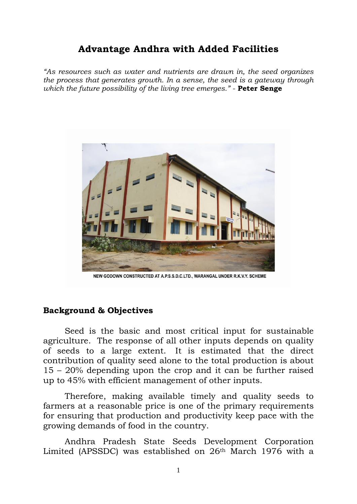## **Advantage Andhra with Added Facilities**

*"As resources such as water and nutrients are drawn in, the seed organizes the process that generates growth. In a sense, the seed is a gateway through which the future possibility of the living tree emerges."* - **Peter Senge**



NEW GODOWN CONSTRUCTED AT A.P.S.S.D.C.LTD., WARANGAL UNDER R.K.V.Y. SCHEME

## **Background & Objectives**

Seed is the basic and most critical input for sustainable agriculture. The response of all other inputs depends on quality of seeds to a large extent. It is estimated that the direct contribution of quality seed alone to the total production is about 15 – 20% depending upon the crop and it can be further raised up to 45% with efficient management of other inputs.

Therefore, making available timely and quality seeds to farmers at a reasonable price is one of the primary requirements for ensuring that production and productivity keep pace with the growing demands of food in the country.

Andhra Pradesh State Seeds Development Corporation Limited (APSSDC) was established on 26th March 1976 with a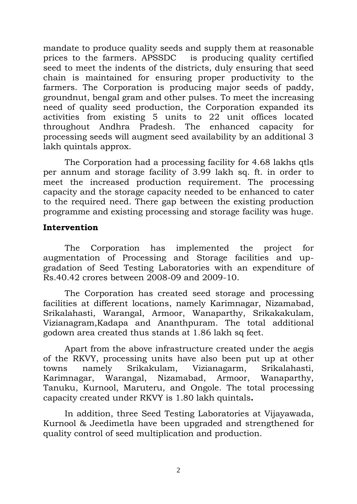mandate to produce quality seeds and supply them at reasonable prices to the farmers. APSSDC is producing quality certified seed to meet the indents of the districts, duly ensuring that seed chain is maintained for ensuring proper productivity to the farmers. The Corporation is producing major seeds of paddy, groundnut, bengal gram and other pulses. To meet the increasing need of quality seed production, the Corporation expanded its activities from existing 5 units to 22 unit offices located throughout Andhra Pradesh. The enhanced capacity for processing seeds will augment seed availability by an additional 3 lakh quintals approx.

The Corporation had a processing facility for 4.68 lakhs qtls per annum and storage facility of 3.99 lakh sq. ft. in order to meet the increased production requirement. The processing capacity and the storage capacity needed to be enhanced to cater to the required need. There gap between the existing production programme and existing processing and storage facility was huge.

## **Intervention**

The Corporation has implemented the project for augmentation of Processing and Storage facilities and upgradation of Seed Testing Laboratories with an expenditure of Rs.40.42 crores between 2008-09 and 2009-10.

The Corporation has created seed storage and processing facilities at different locations, namely Karimnagar, Nizamabad, Srikalahasti, Warangal, Armoor, Wanaparthy, Srikakakulam, Vizianagram,Kadapa and Ananthpuram. The total additional godown area created thus stands at 1.86 lakh sq feet.

Apart from the above infrastructure created under the aegis of the RKVY, processing units have also been put up at other towns namely Srikakulam, Vizianagarm, Srikalahasti, Karimnagar, Warangal, Nizamabad, Armoor, Wanaparthy, Tanuku, Kurnool, Maruteru, and Ongole. The total processing capacity created under RKVY is 1.80 lakh quintals**.**

In addition, three Seed Testing Laboratories at Vijayawada, Kurnool & Jeedimetla have been upgraded and strengthened for quality control of seed multiplication and production.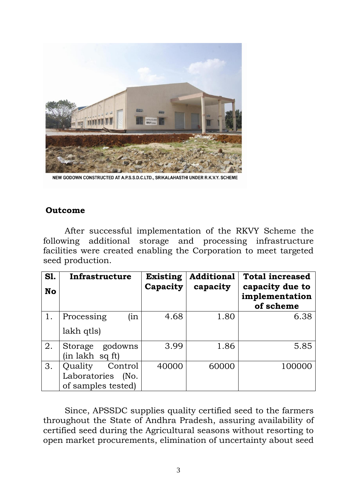

NEW GODOWN CONSTRUCTED AT A.P.S.S.D.C.LTD., SRIKALAHASTHI UNDER R.K.V.Y. SCHEME

## **Outcome**

After successful implementation of the RKVY Scheme the following additional storage and processing infrastructure facilities were created enabling the Corporation to meet targeted seed production.

| <b>S1.</b><br>No | Infrastructure                                                   | <b>Existing</b><br>Capacity | <b>Additional</b><br>capacity | <b>Total increased</b><br>capacity due to<br>implementation |
|------------------|------------------------------------------------------------------|-----------------------------|-------------------------------|-------------------------------------------------------------|
|                  |                                                                  |                             |                               | of scheme                                                   |
| 1.               | (i <sub>n</sub> )<br>Processing                                  | 4.68                        | 1.80                          | 6.38                                                        |
|                  | lakh qtls)                                                       |                             |                               |                                                             |
| 2.               | godowns<br>Storage<br>(in lakh sq ft)                            | 3.99                        | 1.86                          | 5.85                                                        |
| 3.               | Quality<br>Control<br>Laboratories<br>(No.<br>of samples tested) | 40000                       | 60000                         | 100000                                                      |

Since, APSSDC supplies quality certified seed to the farmers throughout the State of Andhra Pradesh, assuring availability of certified seed during the Agricultural seasons without resorting to open market procurements, elimination of uncertainty about seed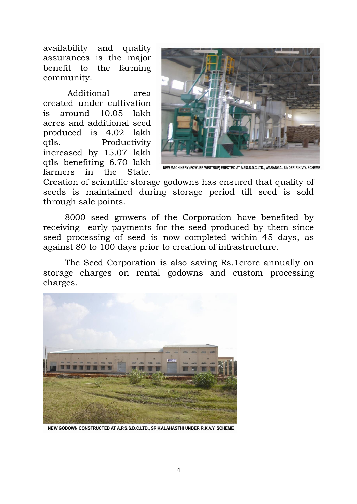availability and quality assurances is the major benefit to the farming community.

Additional area created under cultivation is around 10.05 lakh acres and additional seed produced is 4.02 lakh qtls. Productivity increased by 15.07 lakh qtls benefiting 6.70 lakh farmers in the State.



NEW MACHINERY (FOWLER WESTRUP) ERECTED AT A.P.S.S.D.C.LTD., WARANGAL UNDER R.K.V.Y. SCHEME

Creation of scientific storage godowns has ensured that quality of seeds is maintained during storage period till seed is sold through sale points.

8000 seed growers of the Corporation have benefited by receiving early payments for the seed produced by them since seed processing of seed is now completed within 45 days, as against 80 to 100 days prior to creation of infrastructure.

The Seed Corporation is also saving Rs.1crore annually on storage charges on rental godowns and custom processing charges.



NEW GODOWN CONSTRUCTED AT A.P.S.S.D.C.LTD., SRIKALAHASTHI UNDER R.K.V.Y. SCHEME